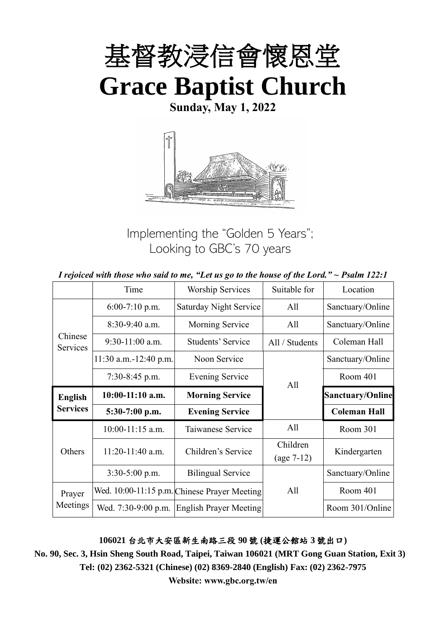

**Sunday, May 1, 2022**



Implementing the "Golden 5 Years"; Looking to GBC's 70 years

| I rejoiced with those who said to me, "Let us go to the house of the Lord." $\sim$ Psalm 122:1 |  |  |
|------------------------------------------------------------------------------------------------|--|--|
|------------------------------------------------------------------------------------------------|--|--|

|                     | Time                  | <b>Worship Services</b>                      | Suitable for             | Location                |
|---------------------|-----------------------|----------------------------------------------|--------------------------|-------------------------|
|                     | $6:00-7:10$ p.m.      | <b>Saturday Night Service</b>                | All                      | Sanctuary/Online        |
|                     | $8:30-9:40$ a.m.      | Morning Service                              | All                      | Sanctuary/Online        |
| Chinese<br>Services | $9:30-11:00$ a.m.     | Students' Service                            | All / Students           | Coleman Hall            |
|                     | 11:30 a.m.-12:40 p.m. | Noon Service                                 |                          | Sanctuary/Online        |
|                     | $7:30-8:45$ p.m.      | <b>Evening Service</b>                       | All                      | Room 401                |
| <b>English</b>      | $10:00-11:10$ a.m.    | <b>Morning Service</b>                       |                          | <b>Sanctuary/Online</b> |
| <b>Services</b>     | $5:30-7:00$ p.m.      | <b>Evening Service</b>                       |                          | <b>Coleman Hall</b>     |
|                     | 10:00-11:15 a.m.      | Taiwanese Service                            | All                      | Room 301                |
| Others              | 11:20-11:40 a.m.      | Children's Service                           | Children<br>$(age 7-12)$ | Kindergarten            |
|                     | $3:30-5:00$ p.m.      | <b>Bilingual Service</b>                     |                          | Sanctuary/Online        |
| Prayer              |                       | Wed. 10:00-11:15 p.m. Chinese Prayer Meeting | All                      | Room 401                |
| Meetings            | Wed. 7:30-9:00 p.m.   | <b>English Prayer Meeting</b>                |                          | Room 301/Online         |

**106021** 台北市大安區新生南路三段 **90** 號 **(**捷運公館站 **3** 號出口**)**

**No. 90, Sec. 3, Hsin Sheng South Road, Taipei, Taiwan 106021 (MRT Gong Guan Station, Exit 3) Tel: (02) 2362-5321 (Chinese) (02) 8369-2840 (English) Fax: (02) 2362-7975**

**Website: www.gbc.org.tw/en**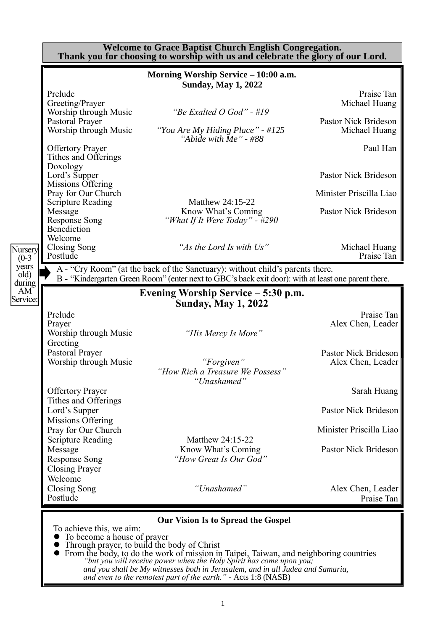|                                           |                                                                                                                                                                                                                                                                    | <b>Welcome to Grace Baptist Church English Congregation.</b><br>Thank you for choosing to worship with us and celebrate the glory of our Lord.                                                                                                                                                                                                                                                                         |                                                                                                                                                             |
|-------------------------------------------|--------------------------------------------------------------------------------------------------------------------------------------------------------------------------------------------------------------------------------------------------------------------|------------------------------------------------------------------------------------------------------------------------------------------------------------------------------------------------------------------------------------------------------------------------------------------------------------------------------------------------------------------------------------------------------------------------|-------------------------------------------------------------------------------------------------------------------------------------------------------------|
|                                           | Prelude<br>Greeting/Prayer<br>Worship through Music<br>Pastoral Prayer<br>Worship through Music<br><b>Offertory Prayer</b><br>Tithes and Offerings<br>Doxology<br>Lord's Supper<br>Missions Offering<br>Pray for Our Church<br><b>Scripture Reading</b><br>Message | Morning Worship Service - 10:00 a.m.<br><b>Sunday, May 1, 2022</b><br>"Be Exalted $O$ God" - #19<br>"You Are My Hiding Place" - #125<br>"Abide with $Me$ " - #88<br>Matthew 24:15-22<br>Know What's Coming                                                                                                                                                                                                             | Praise Tan<br>Michael Huang<br>Pastor Nick Brideson<br>Michael Huang<br>Paul Han<br>Pastor Nick Brideson<br>Minister Priscilla Liao<br>Pastor Nick Brideson |
| Nursery<br>$(0-3)$                        | <b>Response Song</b><br>Benediction<br>Welcome<br>Closing Song<br>Postlude                                                                                                                                                                                         | "What If It Were Today" - #290<br>"As the Lord Is with Us"                                                                                                                                                                                                                                                                                                                                                             | Michael Huang<br>Praise Tan                                                                                                                                 |
| years<br>$\left[$ old $\right)$<br>during |                                                                                                                                                                                                                                                                    | A - "Cry Room" (at the back of the Sanctuary): without child's parents there.<br>B - "Kindergarten Green Room" (enter next to GBC's back exit door): with at least one parent there.                                                                                                                                                                                                                                   |                                                                                                                                                             |
| AM <sup>-</sup><br>Service:               | Prelude                                                                                                                                                                                                                                                            | Evening Worship Service – 5:30 p.m.<br><b>Sunday, May 1, 2022</b>                                                                                                                                                                                                                                                                                                                                                      | Praise Tan                                                                                                                                                  |
|                                           | Prayer<br>Worship through Music<br>Greeting<br>Pastoral Prayer<br>Worship through Music                                                                                                                                                                            | "His Mercy Is More"<br>"Forgiven"<br>"How Rich a Treasure We Possess"                                                                                                                                                                                                                                                                                                                                                  | Alex Chen, Leader<br>Pastor Nick Brideson<br>Alex Chen, Leader                                                                                              |
|                                           | <b>Offertory Prayer</b><br>Tithes and Offerings                                                                                                                                                                                                                    | "Unashamed"                                                                                                                                                                                                                                                                                                                                                                                                            | Sarah Huang                                                                                                                                                 |
|                                           | Lord's Supper<br>Missions Offering                                                                                                                                                                                                                                 |                                                                                                                                                                                                                                                                                                                                                                                                                        | Pastor Nick Brideson                                                                                                                                        |
|                                           | Pray for Our Church<br><b>Scripture Reading</b>                                                                                                                                                                                                                    | Matthew 24:15-22                                                                                                                                                                                                                                                                                                                                                                                                       | Minister Priscilla Liao                                                                                                                                     |
|                                           | Message<br><b>Response Song</b><br><b>Closing Prayer</b><br>Welcome                                                                                                                                                                                                | Know What's Coming<br>"How Great Is Our God"                                                                                                                                                                                                                                                                                                                                                                           | Pastor Nick Brideson                                                                                                                                        |
|                                           | Closing Song<br>Postlude                                                                                                                                                                                                                                           | "Unashamed"                                                                                                                                                                                                                                                                                                                                                                                                            | Alex Chen, Leader<br>Praise Tan                                                                                                                             |
|                                           | To achieve this, we aim:<br>To become a house of prayer                                                                                                                                                                                                            | <b>Our Vision Is to Spread the Gospel</b><br>Through prayer, to build the body of Christ<br>$\bullet$ From the body, to do the work of mission in Taipei, Taiwan, and neighboring countries<br>"but you will receive power when the Holy Spirit has come upon you;<br>and you shall be My witnesses both in Jerusalem, and in all Judea and Samaria,<br>and even to the remotest part of the earth." - Acts 1:8 (NASB) |                                                                                                                                                             |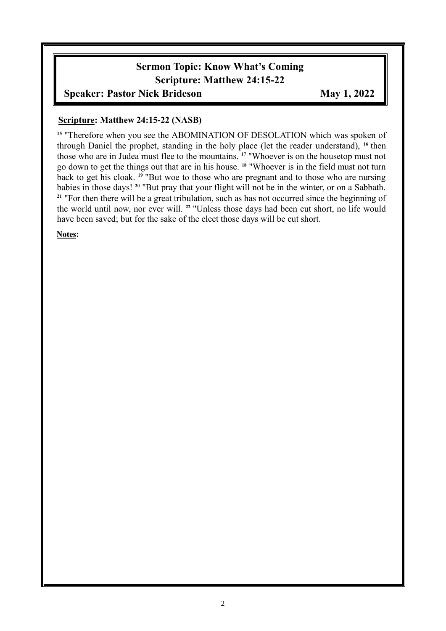## **Sermon Topic: Know What's Coming Scripture: Matthew 24:15-22**

#### **Speaker: Pastor Nick Brideson May 1, 2022**

#### **Scripture: Matthew 24:15-22 (NASB)**

<sup>15</sup> "Therefore when you see the ABOMINATION OF DESOLATION which was spoken of through Daniel the prophet, standing in the holy place (let the reader understand), **<sup>16</sup>** then those who are in Judea must flee to the mountains. **<sup>17</sup>** "Whoever is on the housetop must not go down to get the things out that are in his house. **<sup>18</sup>** "Whoever is in the field must not turn back to get his cloak. **<sup>19</sup>** "But woe to those who are pregnant and to those who are nursing babies in those days! **<sup>20</sup>** "But pray that your flight will not be in the winter, or on a Sabbath. <sup>21</sup> "For then there will be a great tribulation, such as has not occurred since the beginning of the world until now, nor ever will. **<sup>22</sup>** "Unless those days had been cut short, no life would have been saved; but for the sake of the elect those days will be cut short.

**Notes:**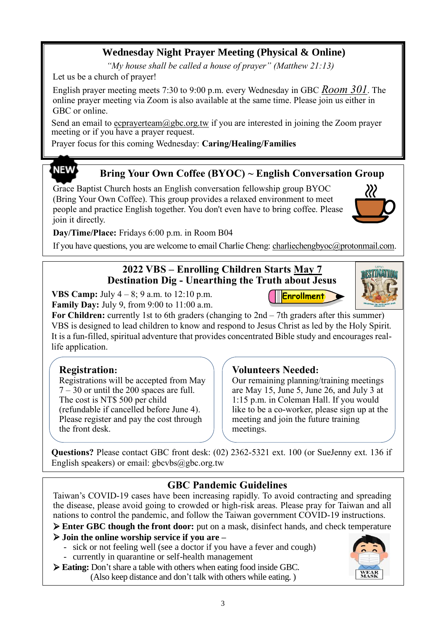## **Wednesday Night Prayer Meeting (Physical & Online)**

*"My house shall be called a house of prayer" (Matthew 21:13)*

Let us be a church of prayer!

English prayer meeting meets 7:30 to 9:00 p.m. every Wednesday in GBC *Room 301*. The online prayer meeting via Zoom is also available at the same time. Please join us either in GBC or online.

Send an email to ecprayerteam $@gbc.org.tw$  if you are interested in joining the Zoom prayer meeting or if you have a prayer request.

Prayer focus for this coming Wednesday: **Caring/Healing/Families**

# **NEW**

#### **Bring Your Own Coffee (BYOC) ~ English Conversation Group**

Grace Baptist Church hosts an English conversation fellowship group BYOC (Bring Your Own Coffee). This group provides a relaxed environment to meet people and practice English together. You don't even have to bring coffee. Please join it directly.

**Day/Time/Place:** Fridays 6:00 p.m. in Room B04

If you have questions, you are welcome to email Charlie Cheng: charliechengbyoc@protonmail.com.

#### **2022 VBS – Enrolling Children Starts May 7 Destination Dig - Unearthing the Truth about Jesus**

**VBS Camp:** July 4 – 8; 9 a.m. to 12:10 p.m. **Family Day:** July 9, from 9:00 to 11:00 a.m.

For Children: currently 1st to 6th graders (changing to 2nd – 7th graders after this summer) VBS is designed to lead children to know and respond to Jesus Christ as led by the Holy Spirit. It is a fun-filled, spiritual adventure that provides concentrated Bible study and encourages reallife application.

#### **Registration:**

Registrations will be accepted from May  $7 - 30$  or until the 200 spaces are full. The cost is NT\$ 500 per child (refundable if cancelled before June 4). Please register and pay the cost through the front desk.

#### **Volunteers Needed:**

Our remaining planning/training meetings are May 15, June 5, June 26, and July 3 at 1:15 p.m. in Coleman Hall. If you would like to be a co-worker, please sign up at the meeting and join the future training meetings.

Enrollment

**Questions?** Please contact GBC front desk: (02) 2362-5321 ext. 100 (or SueJenny ext. 136 if English speakers) or email:  $gbcvbs@gbc.org.tw$ 

#### **GBC Pandemic Guidelines**

Taiwan's COVID-19 cases have been increasing rapidly. To avoid contracting and spreading the disease, please avoid going to crowded or high-risk areas. Please pray for Taiwan and all nations to control the pandemic, and follow the Taiwan government COVID-19 instructions.

➢ **Enter GBC though the front door:** put on a mask, disinfect hands, and check temperature

➢ **Join the online worship service if you are –**

- sick or not feeling well (see a doctor if you have a fever and cough)
- currently in quarantine or self-health management

➢ **Eating:** Don't share a table with others when eating food inside GBC. (Also keep distance and don't talk with others while eating. )

3





 $\mathcal{W}$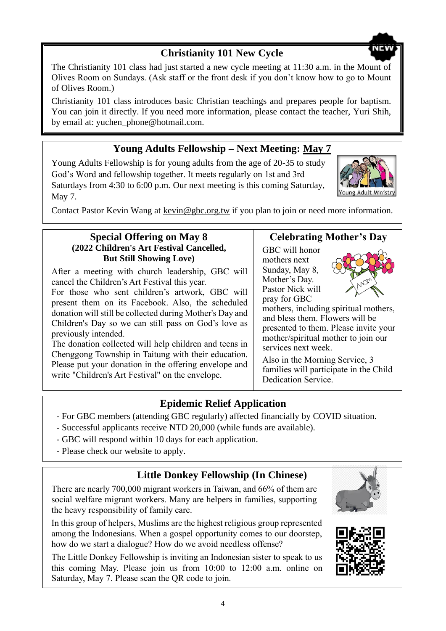## **Christianity 101 New Cycle**

The Christianity 101 class had just started a new cycle meeting at 11:30 a.m. in the Mount of Olives Room on Sundays. (Ask staff or the front desk if you don't know how to go to Mount of Olives Room.)

Christianity 101 class introduces basic Christian teachings and prepares people for baptism. You can join it directly. If you need more information, please contact the teacher, Yuri Shih, by email at: yuchen\_phone@hotmail.com.

## **Young Adults Fellowship – Next Meeting: May 7**

Young Adults Fellowship is for young adults from the age of 20-35 to study God's Word and fellowship together. It meets regularly on 1st and 3rd Saturdays from 4:30 to 6:00 p.m. Our next meeting is this coming Saturday, May 7.

Contact Pastor Kevin Wang at kevin@gbc.org.tw if you plan to join or need more information.

#### **Special Offering on May 8 (2022 Children's Art Festival Cancelled, But Still Showing Love)**

After a meeting with church leadership, GBC will cancel the Children's Art Festival this year.

For those who sent children's artwork, GBC will present them on its Facebook. Also, the scheduled donation will still be collected during Mother's Day and Children's Day so we can still pass on God's love as previously intended.

The donation collected will help children and teens in Chenggong Township in Taitung with their education. Please put your donation in the offering envelope and write "Children's Art Festival" on the envelope.

#### **Celebrating Mother's Day**

GBC will honor mothers next Sunday, May 8, Mother's Day. Pastor Nick will pray for GBC

mothers, including spiritual mothers, and bless them. Flowers will be presented to them. Please invite your mother/spiritual mother to join our services next week.

Also in the Morning Service, 3 families will participate in the Child Dedication Service.

#### **Epidemic Relief Application**

- For GBC members (attending GBC regularly) affected financially by COVID situation.
- Successful applicants receive NTD 20,000 (while funds are available).
- GBC will respond within 10 days for each application.
- Please check our website to apply.

#### **Little Donkey Fellowship (In Chinese)**

There are nearly 700,000 migrant workers in Taiwan, and 66% of them are social welfare migrant workers. Many are helpers in families, supporting the heavy responsibility of family care.

In this group of helpers, Muslims are the highest religious group represented among the Indonesians. When a gospel opportunity comes to our doorstep, how do we start a dialogue? How do we avoid needless offense?

The Little Donkey Fellowship is inviting an Indonesian sister to speak to us this coming May. Please join us from 10:00 to 12:00 a.m. online on Saturday, May 7. Please scan the QR code to join.









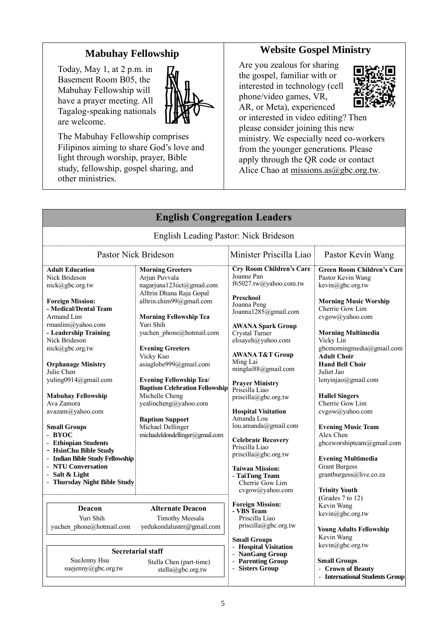### **Mabuhay Fellowship**

Today, May 1, at 2 p.m. in Basement Room B05, the Mabuhay Fellowship will have a prayer meeting. All Tagalog-speaking nationals are welcome.



The Mabuhay Fellowship comprises Filipinos aiming to share God's love and light through worship, prayer, Bible study, fellowship, gospel sharing, and other ministries.

#### **Website Gospel Ministry**

Are you zealous for sharing the gospel, familiar with or interested in technology (cell phone/video games, VR, AR, or Meta), experienced



or interested in video editing? Then please consider joining this new ministry. We especially need co-workers from the younger generations. Please apply through the QR code or contact Alice Chao at missions.as $(a)$ gbc.org.tw.

|                                                                                                                                                                                                                                                                                                                                                                                             | <b>English Congregation Leaders</b>                                                                                                                                                                                                                                                                                                                                                                                                                                                |                                                                                                                                                                                                                                                                                                                                                                                                          |                                                                                                                                                                                                                                                                                                                                                                                                                       |
|---------------------------------------------------------------------------------------------------------------------------------------------------------------------------------------------------------------------------------------------------------------------------------------------------------------------------------------------------------------------------------------------|------------------------------------------------------------------------------------------------------------------------------------------------------------------------------------------------------------------------------------------------------------------------------------------------------------------------------------------------------------------------------------------------------------------------------------------------------------------------------------|----------------------------------------------------------------------------------------------------------------------------------------------------------------------------------------------------------------------------------------------------------------------------------------------------------------------------------------------------------------------------------------------------------|-----------------------------------------------------------------------------------------------------------------------------------------------------------------------------------------------------------------------------------------------------------------------------------------------------------------------------------------------------------------------------------------------------------------------|
|                                                                                                                                                                                                                                                                                                                                                                                             | English Leading Pastor: Nick Brideson                                                                                                                                                                                                                                                                                                                                                                                                                                              |                                                                                                                                                                                                                                                                                                                                                                                                          |                                                                                                                                                                                                                                                                                                                                                                                                                       |
|                                                                                                                                                                                                                                                                                                                                                                                             | <b>Pastor Nick Brideson</b>                                                                                                                                                                                                                                                                                                                                                                                                                                                        | Minister Priscilla Liao                                                                                                                                                                                                                                                                                                                                                                                  | Pastor Kevin Wang                                                                                                                                                                                                                                                                                                                                                                                                     |
| <b>Adult Education</b><br>Nick Brideson<br>$nick(\omega)$ gbc.org.tw<br><b>Foreign Mission:</b><br>- Medical/Dental Team<br>Armand Lim<br>rmanlim@yahoo.com<br>- Leadership Training<br>Nick Brideson<br>nick@gbc.org.tw<br><b>Orphanage Ministry</b><br>Julie Chen<br>yuling0914@gmail.com<br><b>Mabuhay Fellowship</b><br>Ava Zamora<br>avazam@yahoo.com<br><b>Small Groups</b><br>- BYOC | <b>Morning Greeters</b><br>Arjun Puvvala<br>nagarjuna123iict@gmail.com<br>Alltrin Dhana Raja Gopal<br>alltrin.chim99@gmail.com<br><b>Morning Fellowship Tea</b><br>Yuri Shih<br>yuchen phone@hotmail.com<br><b>Evening Greeters</b><br>Vicky Kuo<br>asiaglobe999@gmail.com<br><b>Evening Fellowship Tea/</b><br><b>Baptism Celebration Fellowship</b><br>Michelle Cheng<br>yealincheng@yahoo.com<br><b>Baptism Support</b><br>Michael Dellinger<br>michaeleldondellinger@gmail.com | <b>Cry Room Children's Care</b><br>Joanne Pan<br>f65027.tw@yahoo.com.tw<br>Preschool<br>Joanna Peng<br>Joanna1285@gmail.com<br><b>AWANA Spark Group</b><br>Crystal Turner<br>elisayeh@yahoo.com<br><b>AWANA T&amp;T Group</b><br>Ming Lai<br>minglai88@gmail.com<br><b>Prayer Ministry</b><br>Priscilla Liao<br>priscilla@gbc.org.tw<br><b>Hospital Visitation</b><br>Amanda Lou<br>lou.amanda@gmail.com | <b>Green Room Children's Care</b><br>Pastor Kevin Wang<br>kevin@gbc.org.tw<br><b>Morning Music Worship</b><br>Cherrie Gow Lim<br>cvgow@yahoo.com<br><b>Morning Multimedia</b><br>Vicky Lin<br>gbcmorningmedia@gmail.com<br><b>Adult Choir</b><br><b>Hand Bell Choir</b><br>Juliet Jao<br>lenyinjao@gmail.com<br><b>Hallel Singers</b><br>Cherrie Gow Lim<br>cvgow@yahoo.com<br><b>Evening Music Team</b><br>Alex Chen |
| - Ethiopian Students<br>- HsinChu Bible Study<br>- Indian Bible Study Fellowship<br>- NTU Conversation<br>- Salt & Light<br>- Thursday Night Bible Study                                                                                                                                                                                                                                    |                                                                                                                                                                                                                                                                                                                                                                                                                                                                                    | <b>Celebrate Recovery</b><br>Priscilla Liao<br>priscilla@gbc.org.tw<br><b>Taiwan Mission:</b><br>- TaiTung Team<br>Cherrie Gow Lim<br>cvgow@yahoo.com                                                                                                                                                                                                                                                    | gbceworshipteam@gmail.com<br><b>Evening Multimedia</b><br><b>Grant Burgess</b><br>grantburgess@live.co.za<br><b>Trinity Youth</b><br>(Grades 7 to 12)                                                                                                                                                                                                                                                                 |
| <b>Deacon</b><br>Yuri Shih<br>yuchen phone@hotmail.com<br>SueJenny Hsu                                                                                                                                                                                                                                                                                                                      | <b>Alternate Deacon</b><br>Timothy Meesala<br>yedukondaluster@gmail.com<br><b>Secretarial staff</b><br>Stella Chen (part-time)                                                                                                                                                                                                                                                                                                                                                     | <b>Foreign Mission:</b><br>- VBS Team<br>Priscilla Liao<br>priscilla@gbc.org.tw<br><b>Small Groups</b><br><b>Hospital Visitation</b><br>NanGang Group<br>- Parenting Group                                                                                                                                                                                                                               | Kevin Wang<br>kevin@gbc.org.tw<br><b>Young Adults Fellowship</b><br>Kevin Wang<br>$\text{kevin}(a)$ gbc.org.tw<br><b>Small Groups</b><br>- Crown of Beauty                                                                                                                                                                                                                                                            |
| suejenny@gbc.org.tw                                                                                                                                                                                                                                                                                                                                                                         | stella@gbc.org.tw                                                                                                                                                                                                                                                                                                                                                                                                                                                                  | - Sisters Group                                                                                                                                                                                                                                                                                                                                                                                          |                                                                                                                                                                                                                                                                                                                                                                                                                       |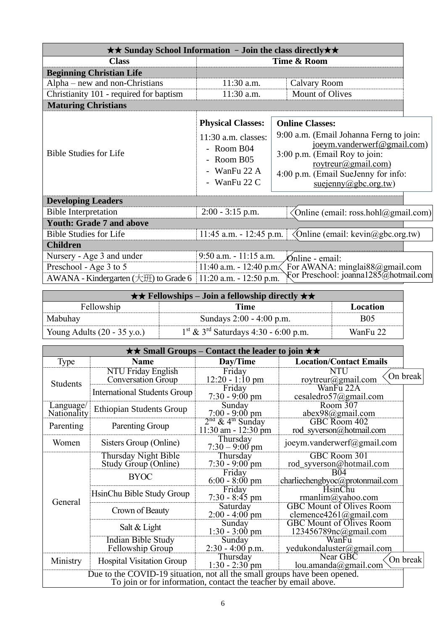| $\star\star$ Sunday School Information - Join the class directly $\star\star$ |                                                                                                                           |                                                                                                                                                                                                                         |
|-------------------------------------------------------------------------------|---------------------------------------------------------------------------------------------------------------------------|-------------------------------------------------------------------------------------------------------------------------------------------------------------------------------------------------------------------------|
| <b>Class</b>                                                                  |                                                                                                                           | Time & Room                                                                                                                                                                                                             |
| <b>Beginning Christian Life</b>                                               |                                                                                                                           |                                                                                                                                                                                                                         |
| Alpha – new and non-Christians                                                | 11:30 a.m.                                                                                                                | Calvary Room                                                                                                                                                                                                            |
| Christianity 101 - required for baptism                                       | 11:30 a.m.                                                                                                                | Mount of Olives                                                                                                                                                                                                         |
| <b>Maturing Christians</b>                                                    |                                                                                                                           |                                                                                                                                                                                                                         |
| <b>Bible Studies for Life</b>                                                 | <b>Physical Classes:</b><br>$11:30$ a.m. classes:<br>- Room B04<br>- Room $B05$<br>- WanFu $22 \text{ A}$<br>- WanFu 22 C | <b>Online Classes:</b><br>9:00 a.m. (Email Johanna Ferng to join:<br>joeym.vanderwerf@gmail.com)<br>3:00 p.m. (Email Roy to join:<br>roytreur@gmail.com)<br>4:00 p.m. (Email SueJenny for info:<br>suejenny@gbc.org.tw) |
| <b>Developing Leaders</b>                                                     |                                                                                                                           |                                                                                                                                                                                                                         |
| <b>Bible Interpretation</b>                                                   | $2:00 - 3:15$ p.m.                                                                                                        | Online (email: ross.hohl@gmail.com)                                                                                                                                                                                     |
| <b>Youth: Grade 7 and above</b>                                               |                                                                                                                           |                                                                                                                                                                                                                         |
| <b>Bible Studies for Life</b>                                                 | $11:45$ a.m. $-12:45$ p.m.                                                                                                | $\Diamond$ Online (email: kevin $\angle$ @gbc.org.tw)                                                                                                                                                                   |
| <b>Children</b>                                                               |                                                                                                                           |                                                                                                                                                                                                                         |
| Nursery - Age 3 and under                                                     | $9:50$ a.m. $-11:15$ a.m.                                                                                                 | Ónline - email:                                                                                                                                                                                                         |
| Preschool - Age 3 to 5                                                        | 11:40 a.m. - 12:40 p.m.                                                                                                   | For AWANA: minglai88@gmail.com                                                                                                                                                                                          |
| AWANA - Kindergarten $(\pm \mathcal{H})$ to Grade 6                           | $11:20$ a.m. $-12:50$ p.m.                                                                                                | For Preschool: joanna1285@hotmail.com                                                                                                                                                                                   |

| $\star \star$ Fellowships – Join a fellowship directly $\star \star$ |                                                              |            |  |
|----------------------------------------------------------------------|--------------------------------------------------------------|------------|--|
| Fellowship                                                           | Time                                                         | Location   |  |
| Mabuhay                                                              | Sundays 2:00 - 4:00 p.m.                                     | <b>B05</b> |  |
| Young Adults $(20 - 35 \text{ y.o.})$                                | $1^{\text{st}}$ & 3 <sup>rd</sup> Saturdays 4:30 - 6:00 p.m. | WanFu 22   |  |

|                          |                                                                                                                                              | $\star \star$ Small Groups – Contact the leader to join $\star \star$ |                                                           |          |
|--------------------------|----------------------------------------------------------------------------------------------------------------------------------------------|-----------------------------------------------------------------------|-----------------------------------------------------------|----------|
| Type                     | <b>Name</b>                                                                                                                                  | Day/Time                                                              | <b>Location/Contact Emails</b>                            |          |
| <b>Students</b>          | <b>NTU Friday English</b><br><b>Conversation Group</b>                                                                                       | Friday<br>$12:20 - 1:10$ pm                                           | <b>NTU</b><br>roytreur@gmail.com                          | On break |
|                          | <b>International Students Group</b>                                                                                                          | Friday<br>$7:30 - 9:00 \text{ pm}$                                    | WanFu 22A<br>cesaledro57@gmail.com                        |          |
| Language/<br>Nationality | <b>Ethiopian Students Group</b>                                                                                                              | Sunday<br>$7:00 - 9:00 \text{ pm}$                                    | Room 307<br>$abex98$ @gmail.com                           |          |
| Parenting                | Parenting Group                                                                                                                              | $2nd$ & 4 <sup>th</sup> Sunday<br>11:30 am - 12:30 pm                 | GBC Room 402<br>rod syverson@hotmail.com                  |          |
| Women                    | Sisters Group (Online)                                                                                                                       | Thursday<br>$7:30 - 9:00$ pm                                          | joeym.vanderwerf@gmail.com                                |          |
|                          | Thursday Night Bible<br>Study Group (Online)                                                                                                 | Thursday<br>$7:30 - 9:00$ pm                                          | GBC Room 301<br>rod_syverson@hotmail.com                  |          |
|                          | <b>BYOC</b>                                                                                                                                  | Friday<br>$6:00 - 8:00 \text{ pm}$                                    | <b>B04</b><br>charliechengbyoc@protonmail.com             |          |
|                          | HsinChu Bible Study Group                                                                                                                    | Friday<br>$7:30 - 8:45$ pm                                            | HsinChu<br>rmanlim@yahoo.com                              |          |
| General                  | Crown of Beauty                                                                                                                              | Saturday<br>$2:00 - 4:00$ pm                                          | <b>GBC Mount of Olives Room</b><br>clemence4261@gmail.com |          |
|                          | Salt & Light                                                                                                                                 | Sunday<br>$1:30 - 3:00$ pm                                            | <b>GBC Mount of Olives Room</b><br>123456789nc@gmail.com  |          |
|                          | <b>Indian Bible Study</b><br>Fellowship Group                                                                                                | Sunday<br>$2:30 - 4:00$ p.m.                                          | WanFu<br>yedukondaluster@gmail.com                        |          |
| Ministry                 | <b>Hospital Visitation Group</b>                                                                                                             | Thursday<br>$1:30 - 2:30$ pm                                          | Near GBC<br>lou.amanda@gmail.com                          | On break |
|                          | Due to the COVID-19 situation, not all the small groups have been opened.<br>To join or for information, contact the teacher by email above. |                                                                       |                                                           |          |